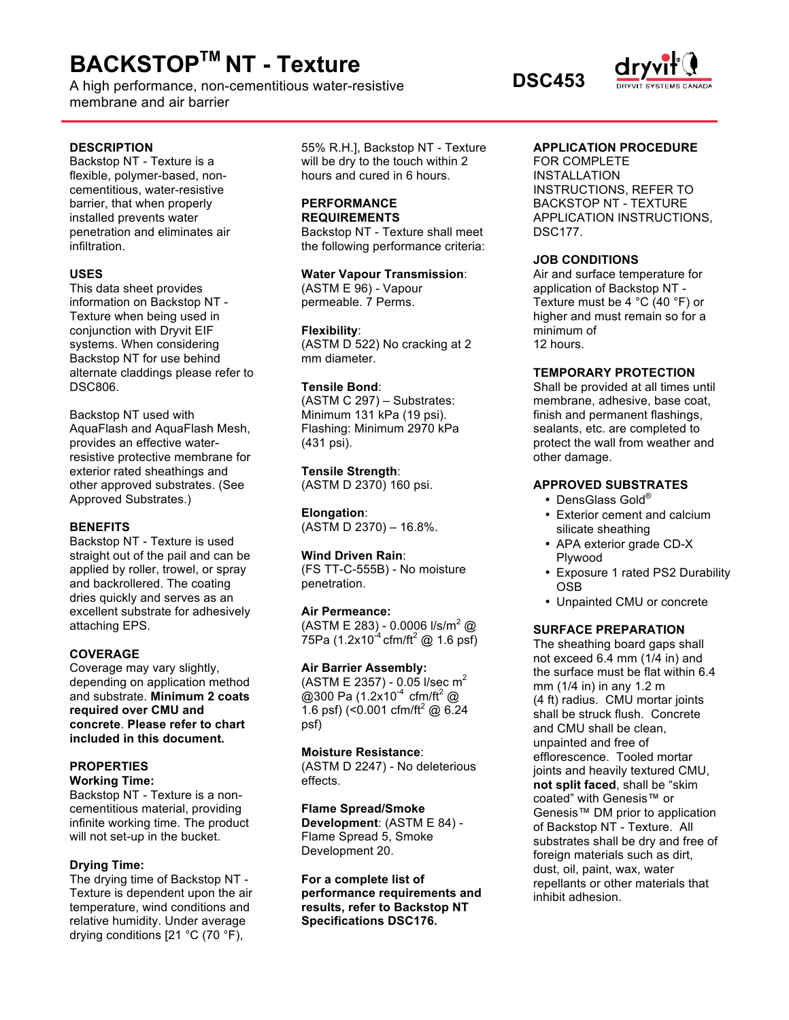# **BACKSTOPTM NT - Texture**

A high performance, non-cementitious water-resistive **DSC453** membrane and air barrier

#### **DESCRIPTION**

Backstop NT - Texture is a flexible, polymer-based, noncementitious, water-resistive barrier, that when properly installed prevents water penetration and eliminates air infiltration.

## **USES**

This data sheet provides information on Backstop NT - Texture when being used in conjunction with Dryvit EIF systems. When considering Backstop NT for use behind alternate claddings please refer to DSC806.

Backstop NT used with AquaFlash and AquaFlash Mesh, provides an effective waterresistive protective membrane for exterior rated sheathings and other approved substrates. (See Approved Substrates.)

# **BENEFITS**

Backstop NT - Texture is used straight out of the pail and can be applied by roller, trowel, or spray and backrollered. The coating dries quickly and serves as an excellent substrate for adhesively attaching EPS.

# **COVERAGE**

Coverage may vary slightly, depending on application method and substrate. **Minimum 2 coats required over CMU and concrete**. **Please refer to chart included in this document.**

# **PROPERTIES**

**Working Time:** Backstop NT - Texture is a noncementitious material, providing infinite working time. The product will not set-up in the bucket.

# **Drying Time:**

The drying time of Backstop NT - Texture is dependent upon the air temperature, wind conditions and relative humidity. Under average drying conditions [21 °C (70 °F),

55% R.H.], Backstop NT - Texture will be dry to the touch within 2 hours and cured in 6 hours.

#### **PERFORMANCE REQUIREMENTS**

Backstop NT - Texture shall meet the following performance criteria:

**Water Vapour Transmission**: (ASTM E 96) - Vapour permeable. 7 Perms.

#### **Flexibility**:

(ASTM D 522) No cracking at 2 mm diameter.

## **Tensile Bond**:

(ASTM C 297) – Substrates: Minimum 131 kPa (19 psi). Flashing: Minimum 2970 kPa (431 psi).

**Tensile Strength**: (ASTM D 2370) 160 psi.

**Elongation**: (ASTM D 2370) – 16.8%.

# **Wind Driven Rain**:

(FS TT-C-555B) - No moisture penetration.

#### **Air Permeance:**

(ASTM E 283) - 0.0006  $1/s/m^2$  @  $75Pa (1.2x10^{-4} \text{ cfm/ft}^2 \text{ @ } 1.6 \text{ psf})$ 

#### **Air Barrier Assembly:**

(ASTM E 2357) - 0.05 l/sec  $m^2$ @300 Pa  $(1.2x10^{-4} \text{ cfm/ft}^2 \text{ @}$ 1.6 psf) (< $0.001$  cfm/ft<sup>2</sup> @ 6.24 psf)

### **Moisture Resistance**:

(ASTM D 2247) - No deleterious effects.

**Flame Spread/Smoke Development**: (ASTM E 84) - Flame Spread 5, Smoke Development 20.

**For a complete list of performance requirements and results, refer to Backstop NT Specifications DSC176.**

## **APPLICATION PROCEDURE**

FOR COMPLETE INSTALLATION INSTRUCTIONS, REFER TO BACKSTOP NT - TEXTURE APPLICATION INSTRUCTIONS, DSC177.

#### **JOB CONDITIONS**

Air and surface temperature for application of Backstop NT - Texture must be 4 °C (40 °F) or higher and must remain so for a minimum of 12 hours.

# **TEMPORARY PROTECTION**

Shall be provided at all times until membrane, adhesive, base coat, finish and permanent flashings, sealants, etc. are completed to protect the wall from weather and other damage.

# **APPROVED SUBSTRATES**

- DensGlass Gold®
- Exterior cement and calcium silicate sheathing
- APA exterior grade CD-X Plywood
- Exposure 1 rated PS2 Durability OSB
- Unpainted CMU or concrete

# **SURFACE PREPARATION**

The sheathing board gaps shall not exceed 6.4 mm (1/4 in) and the surface must be flat within 6.4 mm (1/4 in) in any 1.2 m (4 ft) radius. CMU mortar joints shall be struck flush. Concrete and CMU shall be clean, unpainted and free of efflorescence. Tooled mortar joints and heavily textured CMU, **not split faced**, shall be "skim coated" with Genesis™ or Genesis™ DM prior to application of Backstop NT - Texture. All substrates shall be dry and free of foreign materials such as dirt, dust, oil, paint, wax, water repellants or other materials that inhibit adhesion.